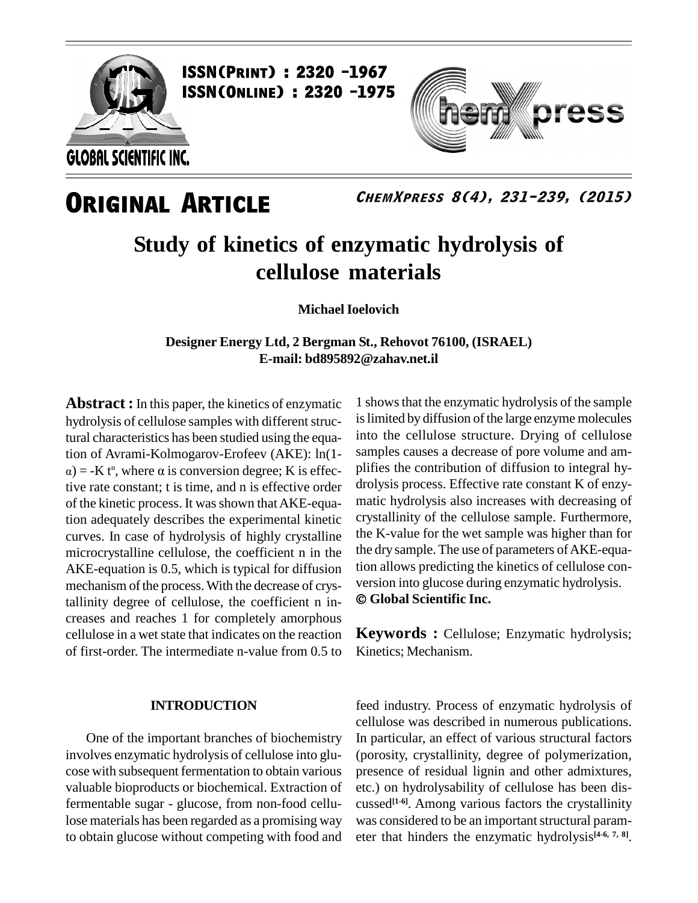

**ISSN(PRINT) : 2320 -1967<br>ISSN(Online) : 2320 -1975** 



### **ORIGINAL ARTICLE**

**ChemXpress 8(4), 231-239, (2015)**

### **Study of kinetics of enzymatic hydrolysis of cellulose materials**

**MichaelIoelovich**

**Designer Energy Ltd, 2 Bergman St., Rehovot 76100, (ISRAEL) E-mail: [bd895892@zahav.net.il](mailto:bd895892@zahav.net.il)**

**Abstract :**In this paper, the kinetics of enzymatic hydrolysis of cellulose samples with different structural characteristics has been studied using the equatural characteristics has been studied using the equa-<br>tion of Avrami-Kolmogarov-Erofeev (AKE):  $\ln(1-\text{sam}) = -K t^n$ , where  $\alpha$  is conversion degree; K is effec- $\alpha$ ) = -K t<sup>n</sup>, where  $\alpha$  is conversion degree; K is effective rate constant; t is time, and n is effective order of the kinetic process. It was shown that AKE-equation adequately describes the experimental kinetic curves. In case of hydrolysis of highly crystalline microcrystalline cellulose, the coefficient n in the AKE-equation is 0.5, which is typical for diffusion tion allows predicting the kinetics of cellulose comechanism of the process. With the decrease of crys-<br>version into glucose during enzymatic hydrolysis. mechanism of the process. With the decrease of crystallinity degree of cellulose, the coefficient n in creases and reaches 1 for completely amorphous cellulose in a wet state that indicates on the reaction of first-order. The intermediate n-value from 0.5 to

#### **INTRODUCTION**

One of the important branches of biochemistry involves enzymatic hydrolysis of cellulose into glu cose with subsequent fermentation to obtain various valuable bioproducts or biochemical. Extraction of fermentable sugar - glucose, from non-food cellulose materials has been regarded as a promising way to obtain glucose without competing with food and

1 showsthat the enzymatic hydrolysis of the sample is limited by diffusion of the large enzyme molecules into the cellulose structure. Drying of cellulose samples causes a decrease of pore volume and am plifies the contribution of diffusion to integral hy drolysis process. Effective rate constant K of enzy matic hydrolysis also increases with decreasing of crystallinity of the cellulose sample. Furthermore, the K*-*value for the wet sample was higher than for the dry sample. The use of parameters of AKE-equation allows predicting the kinetics of cellulose con-<br>version into glucose during enzymatic hydrolysis. **Global Scientific Inc.**

**Keywords :** Cellulose; Enzymatic hydrolysis; Kinetics; Mechanism.

feed industry. Process of enzymatic hydrolysis of cellulose was described in numerous publications. In particular, an effect of various structural factors (porosity, crystallinity, degree of polymerization, presence of residual lignin and other admixtures, etc.) on hydrolysability of cellulose has been dis cussed **[1-6]**. Among various factors the crystallinity was considered to be an important structural parameter that hinders the enzymatic hydrolysis **[4-6, 7, 8]**.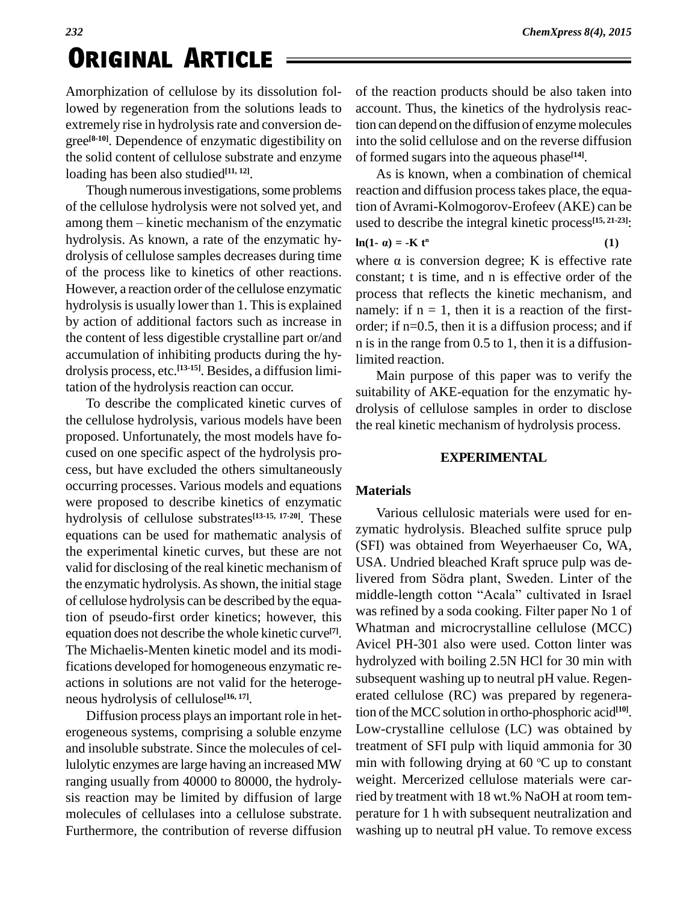Amorphization of cellulose by its dissolution followed by regeneration from the solutions leads to extremely rise in hydrolysis rate and conversion degree<sup>[8-10]</sup>. Dependence of enzymatic digestibility on into the the solid content of cellulose substrate and enzyme loading has been also studied **[11, 12]**.

Though numerous investigations, some problems of the cellulose hydrolysis were not solved yet, and Though numerous investigations, some problems reactiof the cellulose hydrolysis were not solved yet, and tion of the enzymatic used to among them – kinetic mechanism of the enzymatic hydrolysis. As known, a rate of the enzymatic hy- $\ln(1-\alpha) = -K t^n$ drolysis of cellulose samples decreases during time of the process like to kinetics of other reactions. However, a reaction order of the cellulose enzymatic hydrolysis is usually lower than 1. This is explained by action of additional factors such as increase in the content of less digestible crystalline part or/and accumulation of inhibiting products during the hy drolysis process, etc. **[13-15]**. Besides, a diffusion limitation of the hydrolysis reaction can occur.

To describe the complicated kinetic curves of the cellulose hydrolysis, various models have been proposed. Unfortunately, the most models have fo cused on one specific aspect of the hydrolysis pro cess, but have excluded the others simultaneously occurring processes. Various models and equations were proposed to describe kinetics of enzymatic hydrolysis of cellulose substrates **[13-15, 17-20]**. These equations can be used for mathematic analysis of the experimental kinetic curves, but these are not valid for disclosing of the real kinetic mechanism of USA. Undread beached Kraft spruce pup was de-<br>the enzymptic hydrolysis. As shown the initial stage livered from Södra plant, Sweden. Linter of the the enzymatic hydrolysis. As shown, the initial stage of cellulose hydrolysis can be described by the equation of pseudo-first order kinetics; however, this equation does not describe the whole kinetic curve<sup>[7]</sup>. The Michaelis-Menten kinetic model and its modifications developed for homogeneous enzymatic re actions in solutions are not valid for the heteroge neous hydrolysis of cellulose **[16, 17]**.

Diffusion process plays an important role in het erogeneous systems, comprising a soluble enzyme and insoluble substrate. Since the molecules of cellulolytic enzymes are large having an increased MW ranging usually from 40000 to 80000, the hydroly sis reaction may be limited by diffusion of large molecules of cellulases into a cellulose substrate. Furthermore, the contribution of reverse diffusion of the reaction products should be also taken into account. Thus, the kinetics of the hydrolysis reaction can depend on the diffusion of enzyme molecules into the solid cellulose and on the reverse diffusion of formed sugarsinto the aqueous phase **[14]**.

As is known, when a combination of chemical reaction and diffusion processtakes place, the equation of Avrami-Kolmogorov-Erofeev (AKE) can be used to describe the integral kinetic process<sup>[15, 21-23]</sup>:<br>  $\ln(1-\alpha) = -Kt^n$  (1) **<sup>n</sup> (1)**

 $\ln(1 - \alpha) = -K t^{n}$  (1)<br>where  $\alpha$  is conversion degree; K is effective rate constant; t is time, and n is effective order of the process that reflects the kinetic mechanism, and namely: if  $n = 1$ , then it is a reaction of the firstorder; if n=0.5, then it is a diffusion process; and if n is in the range from 0.5 to 1, then it is a diffusionlimited reaction.

Main purpose of this paper was to verify the suitability of AKE-equation for the enzymatic hy drolysis of cellulose samples in order to disclose the real kinetic mechanism of hydrolysis process.

#### **EXPERIMENTAL**

#### **Materials**

Various cellulosic materials were used for en zymatic hydrolysis. Bleached sulfite spruce pulp (SFI) was obtained from Weyerhaeuser Co, WA,<br>USA. Undried bleached Kraft spruce pulp was de-<br>livered from Södra plant, Sweden. Linter of the USA. Undried bleached Kraft spruce pulp was demiddle-length cotton "Acala" cultivated in Israel was refined by a soda cooking. Filter paper No 1 of Whatman and microcrystalline cellulose (MCC) Avicel PH-301 also were used. Cotton linter was hydrolyzed with boiling 2.5N HCl for 30 min with subsequent washing up to neutral pH value. Regen erated cellulose (RC) was prepared by regeneration of the MCC solution in ortho-phosphoric acid<sup>[10]</sup>. Low-crystalline cellulose (LC) was obtained by treatment of SFI pulp with liquid ammonia for 30 min with following drying at 60  $\rm{°C}$  up to constant weight. Mercerized cellulose materials were carried by treatment with 18 wt.% NaOH at room tem perature for 1 h with subsequent neutralization and washing up to neutral pH value. To remove excess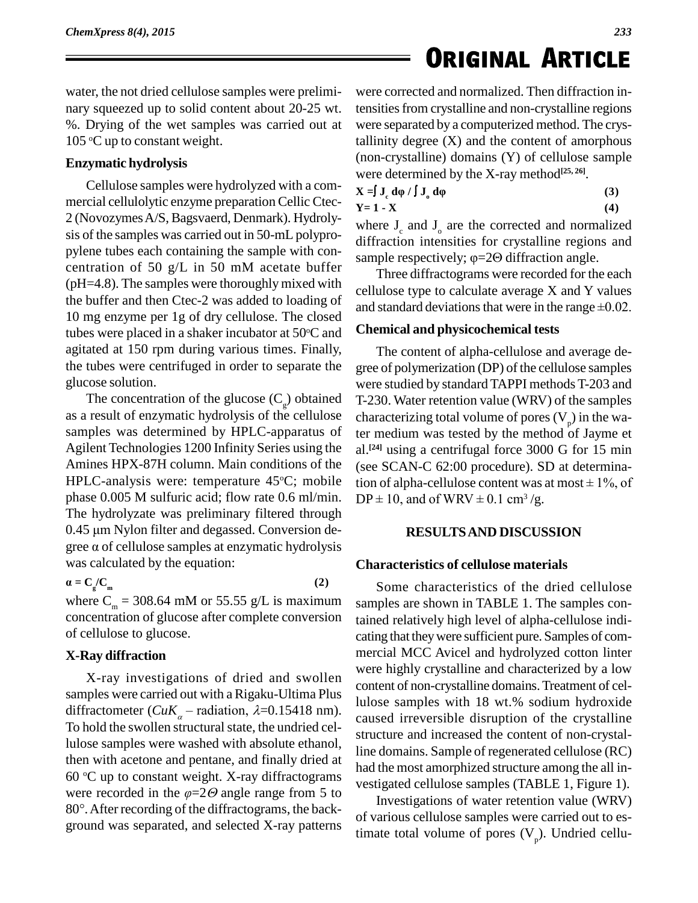water, the not dried cellulose samples were prelimi nary squeezed up to solid content about 20-25 wt. %. Drying of the wet samples was carried outat 105 °C up to constant weight.

#### **Enzymatic hydrolysis**

Cellulose samples were hydrolyzed with a com mercial cellulolytic enzyme preparation Cellic Ctec- 2 (NovozymesA/S,Bagsvaerd, Denmark). Hydroly sis of the samples was carried out in 50-mL polypro pylene tubes each containing the sample with con-<br>sample respectively;  $\varphi = 2\Theta$  diffraction angle. centration of 50 g/L in 50 mM acetate buffer  $(pH=4.8)$ . The samples were thoroughly mixed with the buffer and then Ctec-2 was added to loading of 10 mg enzyme per 1g of dry cellulose. The closed tubes were placed in a shaker incubator at  $50^{\circ}$ C and Chemi agitated at 150 rpm during various times. Finally, the tubes were centrifuged in order to separate the glucose solution.

The concentration of the glucose  $(C_g)$  obtained T-230. as a result of enzymatic hydrolysis of the cellulose samples was determined by HPLC-apparatus of Agilent Technologies 1200 Infinity Series using the Amines HPX-87H column. Main conditions of the HPLC-analysis were: temperature  $45^{\circ}$ C; mobile tion o phase 0.005 M sulfuric acid; flow rate 0.6 ml/min. DP<br>The hydrolyzate was preliminary filtered through<br>0.45 µm Nylon filter and degassed. Conversion de-The hydrolyzate was preliminary filtered through<br>0.45  $\mu$ m Nylon filter and degassed. Conversion degree  $\alpha$  of cellulose samples at enzymatic hydrolysis gree a or centrose samples at enzym

$$
\alpha = C_g/C_m
$$

where  $C_m = 308.64$  mM or 55.55 g/L is maximum concentration of glucose after complete conversion of cellulose to glucose.

**(2)**

#### **X-Ray diffraction**

X-ray investigations of dried and swollen samples were carried out with a Rigaku-Ultima Plus diffractometer ( $CuK_a$  – radiation,  $\lambda$ =0.15418 nm). To hold the swollen structural state, the undried cellulose samples were washed with absolute ethanol, then with acetone and pentane, and finally dried at  $60^{\circ}$ C up to constant weight. X-ray diffractograms  $\frac{1000}{\sqrt{10}}$ then with acetone and pentane, and finally dried at<br>60 °C up to constant weight. X-ray diffractograms by the vestiga<br>were recorded in the  $\varphi$ =2 $\Theta$  angle range from 5 to 60 °C up to constant weight. X-ray diffractograms vest<br>were recorded in the  $\varphi$ =2 $\Theta$  angle range from 5 to 80°. After recording of the diffractograms, the background was separated, and selected X-ray patterns

were corrected and normalized. Then diffraction intensitiesfrom crystalline and non-crystalline regions were separated by a computerized method. The crystallinity degree  $(X)$  and the content of amorphous (non-crystalline) domains (Y) of cellulose sample were determined by the X-ray method **[25, 26]**. were determined by the X-ray method<sup>[25,26]</sup>.<br> **X** =  $\int$  **J**<sub>c</sub> d $\phi$  /  $\int$  **J**<sub>c</sub> d $\phi$  (3)

| $X = \int J_\rho d\phi / \int J_\rho d\phi$ | (3) |
|---------------------------------------------|-----|
| $Y = 1 - X$                                 | (4) |

where  $J_c$  and  $J_o$  are the corrected and normalized<br>diffraction intensities for crystalline regions and<br>sample respectively;  $\varphi$ =20 diffraction angle. diffraction intensities for crystalline regions and

Three diffractograms were recorded for the each cellulose type to calculate average X and Y values and standard deviations that were in the range  $\pm 0.02$ .

#### **Chemical and physicochemical tests**

The content of alpha-cellulose and average de gree of polymerization (DP) of the cellulose samples were studied by standard TAPPI methods T-203 and T-230. Water retention value (WRV) of the samples characterizing total volume of pores  $(V_p)$  in the water medium was tested by the method of Jayme et al.<sup>[24]</sup> using a centrifugal force 3000 G for 15 min<br>(see SCAN-C 62:00 procedure). SD at determina-<br>tion of alpha-cellulose content was at most  $\pm$  1%, of (see SCAN-C 62:00 procedure). SD at determina-(see SCAN-C 62:00 procedure). SD at<br>tion of alpha-cellulose content was at me<br> $DP \pm 10$ , and of WRV  $\pm 0.1$  cm<sup>3</sup>/g.

#### **RESULTSAND DISCUSSION**

#### **Characteristics of cellulose materials**

Some characteristics of the dried cellulose samples are shown in TABLE 1. The samples contained relatively high level of alpha-cellulose indi cating that they were sufficient pure. Samples of commercial MCC Avicel and hydrolyzed cotton linter were highly crystalline and characterized by a low content of non-crystalline domains.Treatment of cellulose samples with 18 wt.% sodium hydroxide caused irreversible disruption of the crystalline structure and increased the content of non-crystalline domains. Sample of regenerated cellulose (RC) had the most amorphized structure among the all in vestigated cellulose samples (TABLE 1, Figure 1).

Investigations of water retention value (WRV) of various cellulose samples were carried out to estimate total volume of pores  $(V_p)$ . Undried cellu-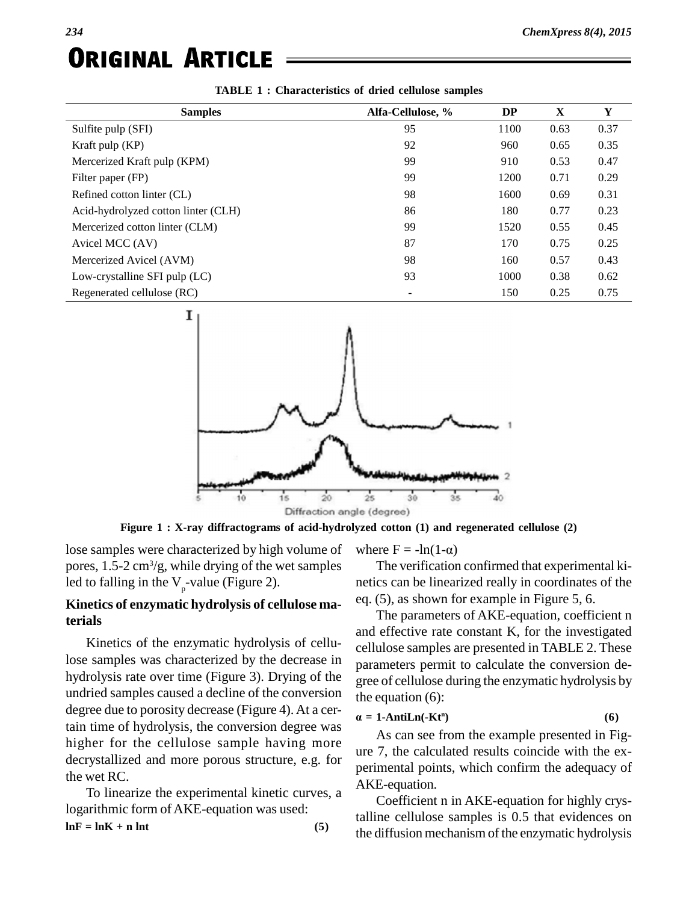| <b>Samples</b>                      | Alfa-Cellulose, % | <b>DP</b> | X    | Y    |
|-------------------------------------|-------------------|-----------|------|------|
| Sulfite pulp (SFI)                  | 95                | 1100      | 0.63 | 0.37 |
| Kraft pulp $(KP)$                   | 92                | 960       | 0.65 | 0.35 |
| Mercerized Kraft pulp (KPM)         | 99                | 910       | 0.53 | 0.47 |
| Filter paper (FP)                   | 99                | 1200      | 0.71 | 0.29 |
| Refined cotton linter (CL)          | 98                | 1600      | 0.69 | 0.31 |
| Acid-hydrolyzed cotton linter (CLH) | 86                | 180       | 0.77 | 0.23 |
| Mercerized cotton linter (CLM)      | 99                | 1520      | 0.55 | 0.45 |
| Avicel MCC (AV)                     | 87                | 170       | 0.75 | 0.25 |
| Mercerized Avicel (AVM)             | 98                | 160       | 0.57 | 0.43 |
| Low-crystalline SFI pulp (LC)       | 93                | 1000      | 0.38 | 0.62 |
| Regenerated cellulose (RC)          |                   | 150       | 0.25 | 0.75 |

|  |  | <b>TABLE 1: Characteristics of dried cellulose samples</b> |  |
|--|--|------------------------------------------------------------|--|
|--|--|------------------------------------------------------------|--|



ie (degree)<br>yzed cotton (1) and regener<br>where F = -ln(1- $\alpha$ ) **Figure 1 : X-ray diffractograms of acid-hydrolyzed cotton (1) and regenerated cellulose (2)**

lose samples were characterized by high volume of where  $F = -\ln(1-\alpha)$ pores, 1.5-2 cm<sup>3</sup>/g, while drying of the wet samples 7 led to falling in the  $V_p$ -value (Figure 2).

#### **Kinetics of enzymatic hydrolysis of cellulose materials**

Kinetics of the enzymatic hydrolysis of cellulose samples was characterized by the decrease in hydrolysis rate over time (Figure 3). Drying of the undried samples caused a decline of the conversion degree due to porosity decrease (Figure 4). At a cer- $\alpha$ tain time of hydrolysis, the conversion degree was higher for the cellulose sample having more decrystallized and more porous structure, e.g. for the wet RC.

To linearize the experimental kinetic curves, a logarithmic form of AKE-equation was used:  $ln\mathbf{F} = ln\mathbf{K} + \mathbf{n}$  **lnt (5)** 

The verification confirmed that experimental kinetics can be linearized really in coordinates of the eq. (5), as shown for example in Figure 5, 6.

The parameters of AKE-equation, coefficient n and effective rate constant K*,* for the investigated cellulose samples are presented in TABLE 2. These parameters permit to calculate the conversion de gree of cellulose during the enzymatic hydrolysis by the equation (6):

$$
= 1 - AntiLn(-Ktn)
$$
 (6)

As can see from the example presented in Fig ure 7, the calculated results coincide with the ex perimental points, which confirm the adequacy of AKE-equation.

Coefficient n in AKE-equation for highly crystalline cellulose samples is 0.5 that evidences on the diffusion mechanism of the enzymatic hydrolysis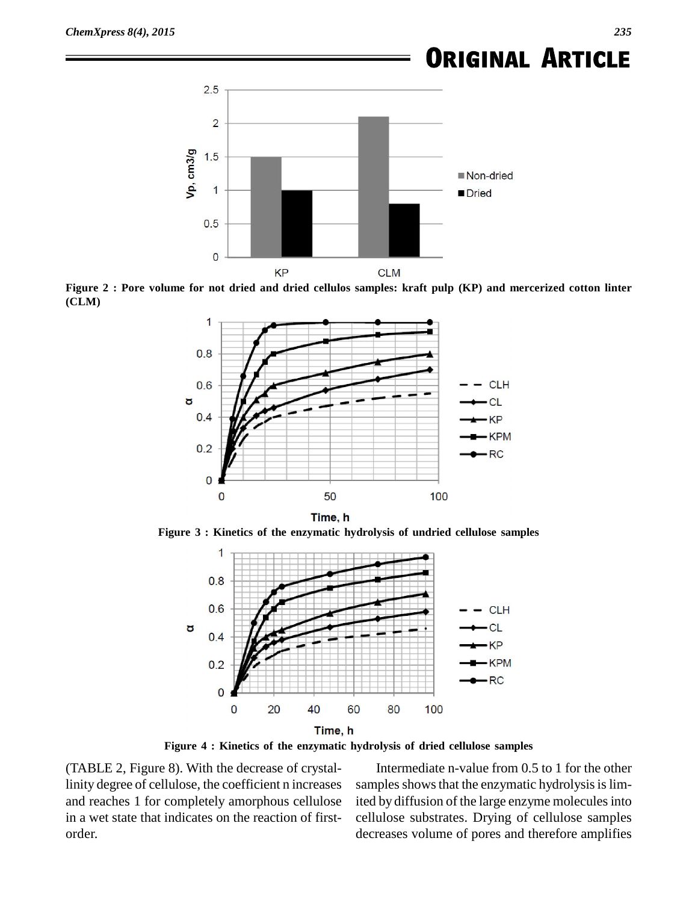

Figure 2 : Pore volume for not dried and dried cellulos samples: kraft pulp (KP) and mercerized cotton linter **(CLM)**



**Figure 3 : Kinetics of the enzymatic hydrolysis of undried cellulose samples**



**Figure 4 : Kinetics of the enzymatic hydrolysis of dried cellulose samples**

(TABLE 2, Figure 8). With the decrease of crystallinity degree of cellulose, the coefficient n increases and reaches 1 for completely amorphous cellulose in a wet state that indicates on the reaction of first order.

Intermediate n-value from 0.5 to 1 for the other samples shows that the enzymatic hydrolysis is limited by diffusion of the large enzyme molecules into cellulose substrates. Drying of cellulose samples decreases volume of pores and therefore amplifies

*235*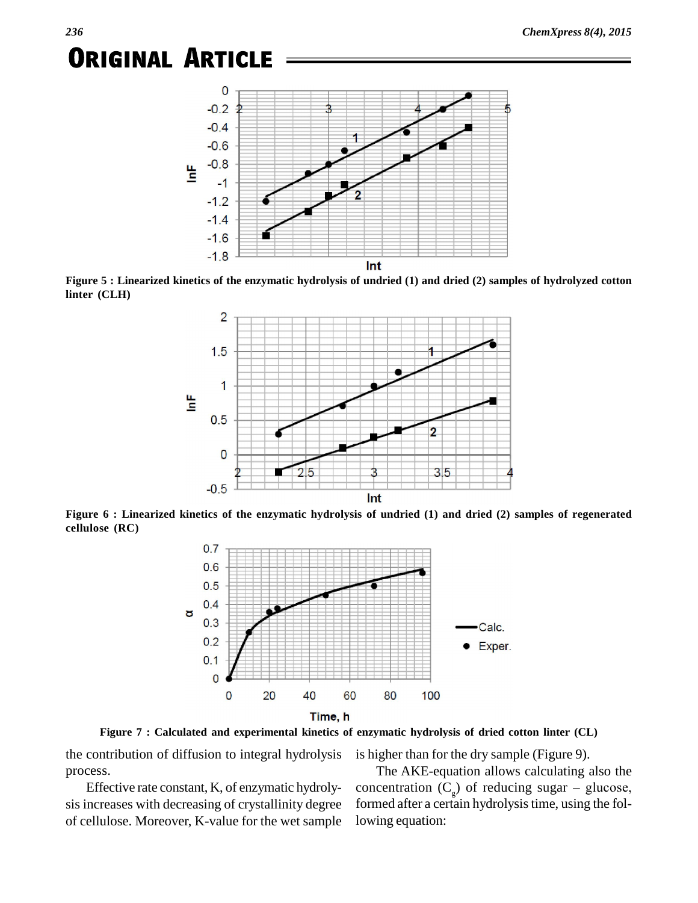

Figure 5 : Linearized kinetics of the enzymatic hydrolysis of undried (1) and dried (2) samples of hydrolyzed cotton **linter (CLH)**



**Figure 6 : Linearized kinetics of the enzymatic hydrolysis of undried (1)and dried (2)samples of regenerated cellulose (RC)**



**Figure 7 : Calculated and experimental kinetics of enzymatic hydrolysis of dried cotton linter (CL)**

the contribution of diffusion to integral hydrolysis process.

Effective rate constant, K, of enzymatic hydroly of cellulose. Moreover, K*-*value for the wet sample is higher than for the dry sample (Figure 9).

sis increases with decreasing of crystallinity degree formed after a certain hydrolysis time, using the fol-The AKE-equation allows calculating also the concentration  $(C_{\alpha})$  of reduci is higher than for the dry sample (Figure 9).<br>The AKE-equation allows calculating also the<br>concentration  $(C_g)$  of reducing sugar – glucose,<br>formed after a certain hydrolysis time, using the following equation: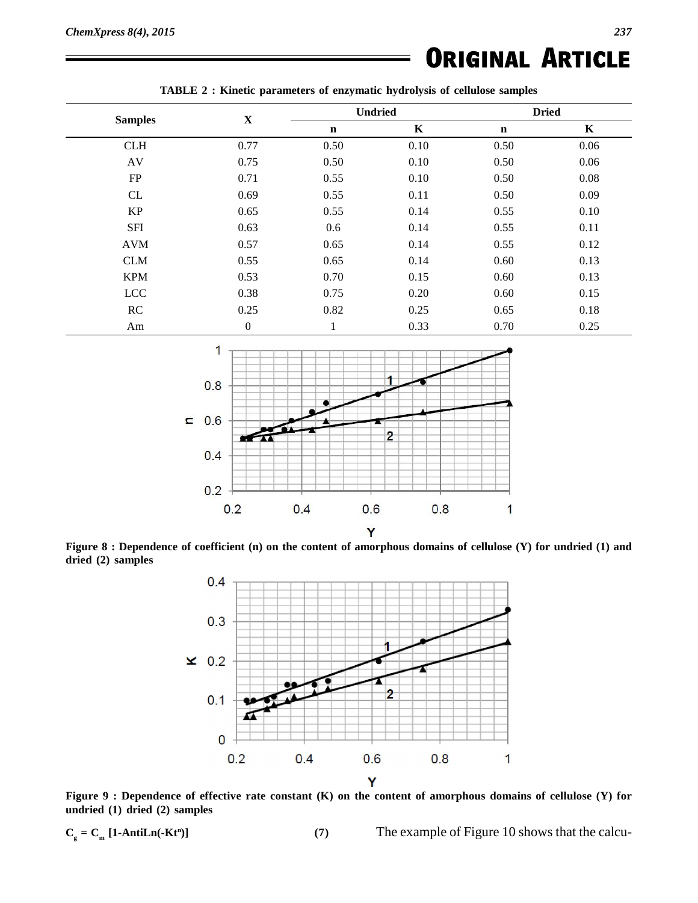| <b>Samples</b> |                  | <b>Undried</b> |         | <b>Dried</b> |             |
|----------------|------------------|----------------|---------|--------------|-------------|
|                | $\mathbf X$      | $\mathbf n$    | $\bf K$ | $\mathbf n$  | $\mathbf K$ |
| <b>CLH</b>     | 0.77             | 0.50           | 0.10    | 0.50         | 0.06        |
| AV             | 0.75             | 0.50           | 0.10    | 0.50         | 0.06        |
| FP             | 0.71             | 0.55           | 0.10    | 0.50         | 0.08        |
| CL             | 0.69             | 0.55           | 0.11    | 0.50         | 0.09        |
| <b>KP</b>      | 0.65             | 0.55           | 0.14    | 0.55         | 0.10        |
| <b>SFI</b>     | 0.63             | 0.6            | 0.14    | 0.55         | 0.11        |
| <b>AVM</b>     | 0.57             | 0.65           | 0.14    | 0.55         | 0.12        |
| <b>CLM</b>     | 0.55             | 0.65           | 0.14    | 0.60         | 0.13        |
| <b>KPM</b>     | 0.53             | 0.70           | 0.15    | 0.60         | 0.13        |
| <b>LCC</b>     | 0.38             | 0.75           | 0.20    | 0.60         | 0.15        |
| RC             | 0.25             | 0.82           | 0.25    | 0.65         | 0.18        |
| Am             | $\boldsymbol{0}$ |                | 0.33    | 0.70         | 0.25        |



Figure 8 : Dependence of coefficient (n) on the content of amorphous domains of cellulose (Y) for undried (1) and dried (2) samples



Figure 9 : Dependence of effective rate constant (K) on the content of amorphous domains of cellulose (Y) for **undried (1) dried (2) samples**

$$
C_{\rm g} = C_{\rm m} \left[ 1 - AntiLn(-Kt^n) \right]
$$

**<sup>n</sup>)] (7)** The example of Figure 10 shows that the calcu-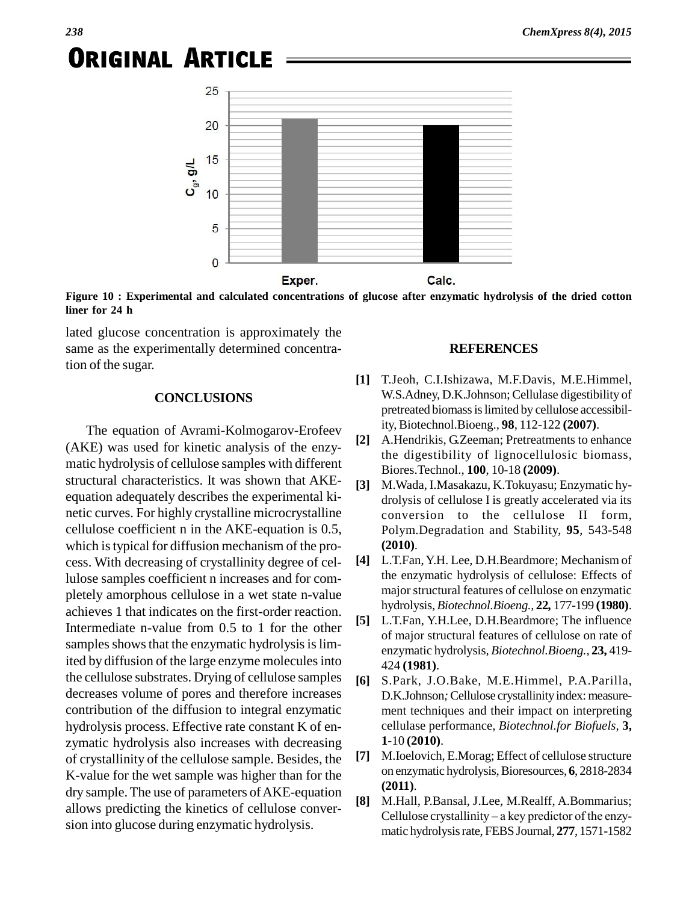

**Figure 10 : Experimental and calculated concentrations of glucose after enzymatic hydrolysis of the dried cotton liner for 24 h**

lated glucose concentration is approximately the same as the experimentally determined concentration of the sugar.

#### **CONCLUSIONS**

The equation of Avrami-Kolmogarov-Erofeev<br>
(2) was used for linearly analysis of the same. (AKE) was used for kinetic analysis of the enzy matic hydrolysis of cellulose samples with different structural characteristics. It was shown that AKE equation adequately describes the experimental ki netic curves. For highly crystalline microcrystalline cellulose coefficient n in the AKE-equation is 0.5, which is typical for diffusion mechanism of the process. With decreasing of crystallinity degree of cellulose samples coefficient n increases and for com pletely amorphous cellulose in a wet state n-value achieves 1 that indicates on the first-order reaction.  $[5]$ Intermediate n-value from 0.5 to 1 for the other samples shows that the enzymatic hydrolysis is limited by diffusion of the large enzyme molecules into the cellulose substrates. Drying of cellulose samples decreases volume of pores and therefore increases contribution of the diffusion to integral enzymatic hydrolysis process. Effective rate constant K of en zymatic hydrolysis also increases with decreasing<br>of crystallinity of the cellulose sample. Besides the [7] of crystallinity of the cellulose sample. Besides, the K*-*value for the wet sample was higher than for the dry sample. The use of parameters of AKE-equation allows predicting the kinetics of cellulose conver sion into glucose during enzymatic hydrolysis.

#### **REFERENCES**

- **[1]** T.Jeoh, C.I.Ishizawa, M.F.Davis, M.E.Himmel, W.S.Adney, D.K.Johnson; Cellulase digestibility of pretreated biomassislimited by cellulose accessibility, Biotechnol.Bioeng., **98**, 112-122 **(2007)**.
- **[2]** A.Hendrikis, G.Zeeman; Pretreatments to enhance the digestibility of lignocellulosic biomass, Biores.Technol., **100**, 10-18 **(2009)**.
- **[3]** M.Wada, I.Masakazu, K.Tokuyasu; Enzymatic hy drolysis of cellulose I is greatly accelerated via its conversion to the cellulose II form, Polym.Degradation and Stability, **95**, 543-548 **(2010)**.
- **[4]** L.T.Fan,Y.H. Lee, D.H.Beardmore; Mechanism of the enzymatic hydrolysis of cellulose: Effects of major structural features of cellulose on enzymatic hydrolysis*,Biotechnol.Bioeng.,* **22***,* 177-199 **(1980)**.
- **[5]** L.T.Fan, Y.H.Lee, D.H.Beardmore; The influence of major structural features of cellulose on rate of enzymatic hydrolysis*, Biotechnol.Bioeng.,* **23,** 419- 424 **(1981)**.
- **[6]** S.Park, J.O.Bake, M.E.Himmel, P.A.Parilla, D.K.Johnson; Cellulose crystallinity index: measurement techniques and their impact on interpreting cellulase performance*, Biotechnol.for Biofuels,* **3, 1-**10 **(2010)**.
- **[7]** M.Ioelovich, E.Morag; Effect of cellulose structure on enzymatic hydrolysis,Bioresources, **6**, 2818-2834 **(2011)**.
- **[8]** M.Hall, P.Bansal, J.Lee, M.Realff, A.Bommarius; (**2011**).<br>M.Hall, P.Bansal, J.Lee, M.Realff, A.Bommarius;<br>Cellulose crystallinity – a key predictor of the enzymatic hydrolysisrate, FEBS Journal, **277**, 1571-1582